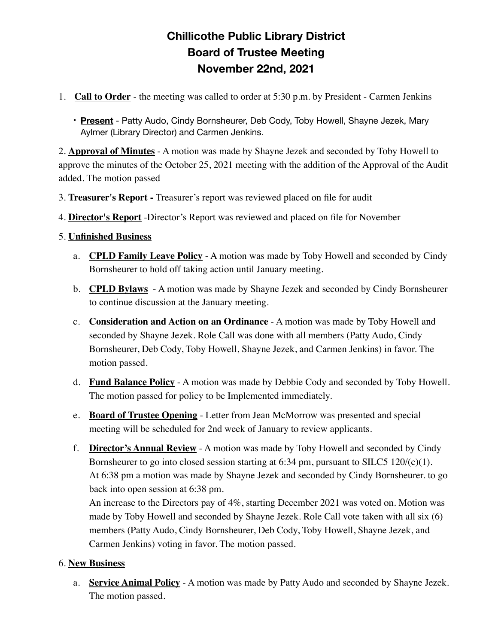## **Chillicothe Public Library District Board of Trustee Meeting November 22nd, 2021**

- 1. **Call to Order** the meeting was called to order at 5:30 p.m. by President Carmen Jenkins
	- **Present** Patty Audo, Cindy Bornsheurer, Deb Cody, Toby Howell, Shayne Jezek, Mary Aylmer (Library Director) and Carmen Jenkins.

2. **Approval of Minutes** - A motion was made by Shayne Jezek and seconded by Toby Howell to approve the minutes of the October 25, 2021 meeting with the addition of the Approval of the Audit added. The motion passed

- 3. **Treasurer's Report** Treasurer's report was reviewed placed on file for audit
- 4. **Director's Report** -Director's Report was reviewed and placed on file for November

## 5. **Unfinished Business**

- a. **CPLD Family Leave Policy** A motion was made by Toby Howell and seconded by Cindy Bornsheurer to hold off taking action until January meeting.
- b. **CPLD Bylaws** A motion was made by Shayne Jezek and seconded by Cindy Bornsheurer to continue discussion at the January meeting.
- c. **Consideration and Action on an Ordinance** A motion was made by Toby Howell and seconded by Shayne Jezek. Role Call was done with all members (Patty Audo, Cindy Bornsheurer, Deb Cody, Toby Howell, Shayne Jezek, and Carmen Jenkins) in favor. The motion passed.
- d. **Fund Balance Policy** A motion was made by Debbie Cody and seconded by Toby Howell. The motion passed for policy to be Implemented immediately.
- e. **Board of Trustee Opening** Letter from Jean McMorrow was presented and special meeting will be scheduled for 2nd week of January to review applicants.
- f. **Director's Annual Review** A motion was made by Toby Howell and seconded by Cindy Bornsheurer to go into closed session starting at 6:34 pm, pursuant to SILC5 120/(c)(1). At 6:38 pm a motion was made by Shayne Jezek and seconded by Cindy Bornsheurer. to go back into open session at 6:38 pm.

An increase to the Directors pay of 4%, starting December 2021 was voted on. Motion was made by Toby Howell and seconded by Shayne Jezek. Role Call vote taken with all six (6) members (Patty Audo, Cindy Bornsheurer, Deb Cody, Toby Howell, Shayne Jezek, and Carmen Jenkins) voting in favor. The motion passed.

## 6. **New Business**

a. **Service Animal Policy** - A motion was made by Patty Audo and seconded by Shayne Jezek. The motion passed.